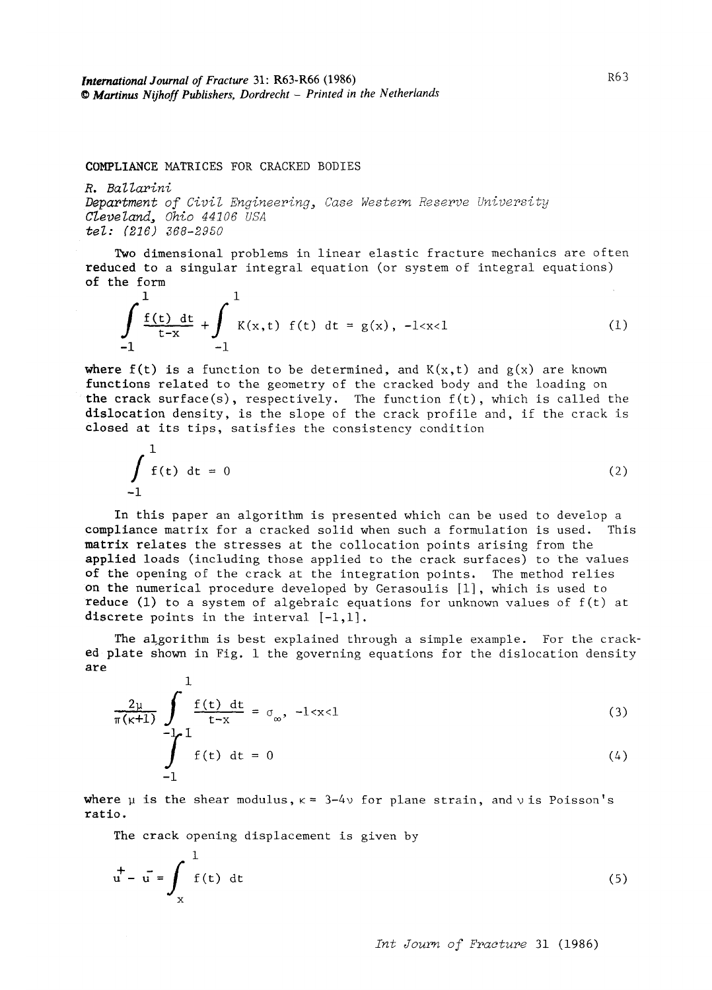COMPLIANCE MATRICES FOR CRACKED BODIES

*R. Ballarini Department of Civil Engineering, Case Western Reserve University Cleveland, Ohio 44106 USA tel: (216) 368-2950* 

Two dimensional problems in linear elastic fracture mechanics are often reduced to a singular integral equation (or system of integral equations) of the form

$$
\int_{-1}^{1} \frac{f(t) dt}{t-x} + \int_{-1}^{1} K(x,t) f(t) dt = g(x), -1 (1)
$$

**where**  $f(t)$  **is a function to be determined, and**  $K(x,t)$  **and**  $g(x)$  **are known** functions related to the geometry of the cracked body and the loading on the crack surface(s), respectively. The function  $f(t)$ , which is called the dislocation density, is the slope of the crack profile and, if the crack is closed at its tips, satisfies the consistency condition

$$
\int_{-1}^{1} f(t) dt = 0
$$
 (2)

In this paper an algorithm is presented which can be used to develop a compliance matrix for a cracked solid when such a formulation is used. This matrix relates the stresses at the collocation points arising from the applied loads (including those applied to the crack surfaces) to the values of the opening of the crack at the integration points. The method relies **on** the numerical procedure developed by Gerasoulis [i], which is used to **reduce** (i) to a system of algebraic equations for unknown values of f(t) at discrete points in the interval  $[-1,1]$ .

The algorithm is best explained through a simple example. For the cracked plate shown in Fig. 1 the governing equations for the dislocation density **are** 

$$
\frac{2\mu}{\pi(\kappa+1)} \int_{-\frac{1}{2}}^{\frac{1}{2}} \frac{f(t) dt}{t-x} = \sigma_{\infty}, -1 < x < 1
$$
\n(3)\n  
\n
$$
\int_{-1}^{1} f(t) dt = 0
$$
\n(4)

where  $\mu$  is the shear modulus,  $\kappa = 3-4\nu$  for plane strain, and  $\nu$  is Poisson's ratio.

The crack opening displacement is given by

$$
\vec{u} - \vec{u} = \int_{x}^{1} f(t) dt
$$
 (5)

*Int Journ of Fracture* 31 (1986)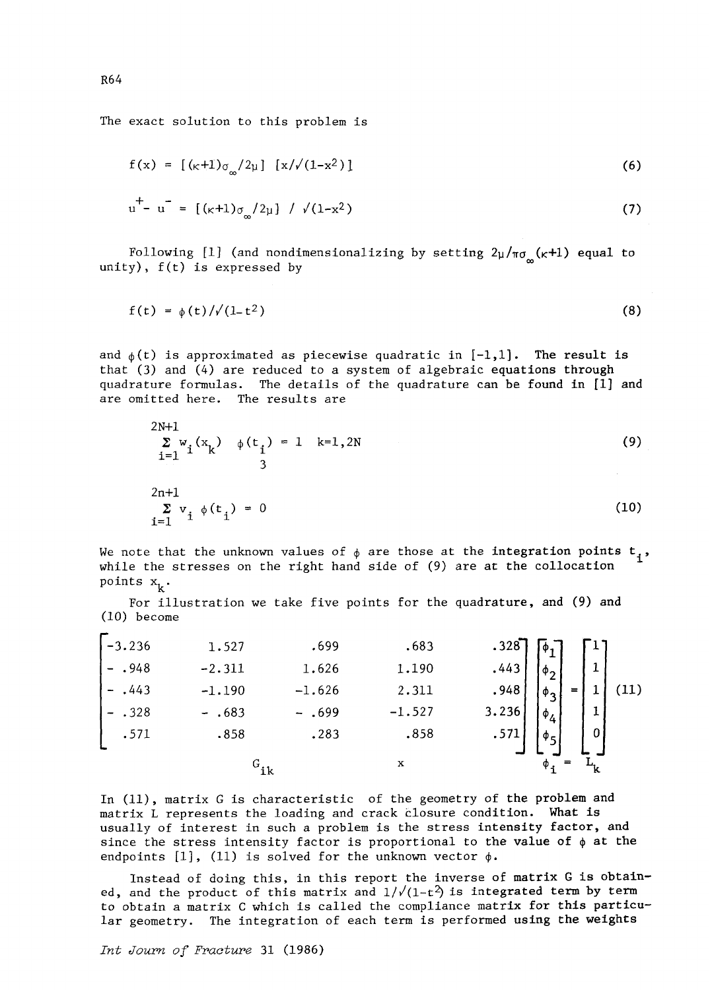The exact solution to this problem is

$$
f(x) = [ (k+1) \sigma_{\infty} / 2\mu ] [x / \sqrt{(1-x^2)} ]
$$
\n
$$
u^+ - u^- = [ (k+1) \sigma_{\infty} / 2\mu ] / \sqrt{(1-x^2)}
$$
\n(7)

Following [1] (and nondimensionalizing by setting  $2\mu/\pi\sigma_{\mu}$  ( $\kappa+1$ ) equal to unity), f(t) is expressed by

$$
f(t) = \phi(t)/\sqrt{(1-t^2)}
$$
 (8)

and  $_{\phi}(t)$  is approximated as piecewise quadratic in  $[-1,1]$ . The result is that (3) and (4) are reduced to a system of algebraic equations through quadrature formulas. The details of the quadrature can be found in [i] and are omitted here. The results are

$$
2N+1\n\n
$$
\sum_{i=1}^{2N+1} w_i (x_k) \phi(t_i) = 1 \quad k=1,2N
$$
\n(9)\n  
\n
$$
2n+1\n\n
$$
\sum_{i=1}^{2N+1} v_i \phi(t_i) = 0
$$
\n(10)
$$
$$

We note that the unknown values of  $\phi$  are those at the integration points  $t_1$ , while the stresses on the right hand side of (9) are at the collocation points  $x_k$ .

For illustration we take five points for the quadrature, and (9) and (i0) become

| $-3.236$ | 1.527             | .699     | .683     |       |                     |     |   |  |
|----------|-------------------|----------|----------|-------|---------------------|-----|---|--|
| $- .948$ | $-2.311$          | 1.626    | 1.190    | .443  |                     |     |   |  |
| $-.443$  | $-1.190$          | $-1.626$ | 2.311    | .948  | $\phi_{\mathbf{p}}$ | $=$ |   |  |
| .328     | $-.683$           | $-.699$  | $-1.527$ | 3.236 | $\Phi_4$            |     |   |  |
| .571     | .858              | .283     | .858     |       |                     |     | 0 |  |
|          | $\mathbf{G}_{ik}$ |          | x        |       |                     |     |   |  |

In (11), matrix G is characteristic of the geometry of the problem and matrix L represents the loading and crack closure condition. What is usually of interest in such a problem is the stress intensity factor, and since the stress intensity factor is proportional to the value of  $\phi$  at the endpoints  $[1]$ ,  $(11)$  is solved for the unknown vector  $\phi$ .

Instead of doing this, in this report the inverse of matrix G is obtained, and the product of this matrix and  $1/\sqrt{(1-t^2)}$  is integrated term by term to obtain a matrix C which is called the compliance matrix for this particular geometry. The integration of each term is performed using the weights

*Int Journ of Fracture* 31 (1986)

R64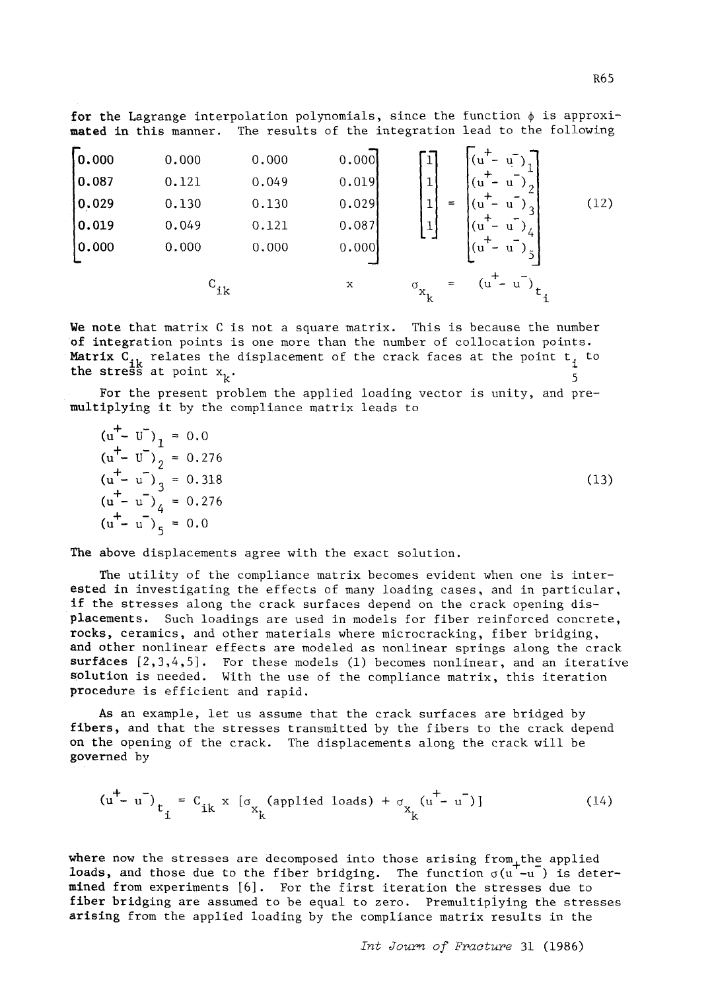**for the Lagrange interpolation polynomials, since the function**  $\phi$  **is approxi**mated in this manner. The results of the integration lead to the following

| 0.000 | 0.000 | 0.000 | 0.000 |
|-------|-------|-------|-------|
| 0.087 | 0.121 | 0.049 | 0.019 |
| 0.029 | 0.130 | 0.130 | 0.029 |
| 0.019 | 0.049 | 0.121 | 0.087 |
| 0.000 | 0.000 | 0.000 | 0.000 |
| 0.000 | 0.000 | 0.000 | 0.000 |

\n
$$
C_{ik}
$$
\n

| $x$             | $\sigma_{x_k}$  | $(u^+ - u^-)_1$ |
|-----------------|-----------------|-----------------|
| $(u^+ - u^-)_2$ | $(u^+ - u^-)_3$ |                 |
| $(u^+ - u^-)_4$ | $(u^+ - u^-)_5$ |                 |

We note that matrix C is not a square matrix. This is because the number of integration points is one more than the number of collocation points. Matrix  $C_{ik}$  relates the displacement of the crack faces at the point  $t_i$  to the stress at point  $x_k$ .

For the present problem the applied loading vector is unity, and premultiplying it by the compliance matrix leads to

| $(u^+ - U^{\dagger})_1 = 0.0$   |      |
|---------------------------------|------|
| $(u^{+} - U^{-})_{2} = 0.276$   |      |
| $(u^{+} - u^{-})_{3} = 0.318$   | (13) |
| $(u^+ - u^-)_{\Lambda} = 0.276$ |      |
| $(u^+ - u^-)_x = 0.0$           |      |

The above displacements agree with the exact solution.

The utility of the compliance matrix becomes evident when one is interested in investigating the effects of many loading cases, and in particular, if the stresses along the crack surfaces depend on the crack opening displacements. Such loadings are used in models for fiber reinforced concrete, rocks, ceramics, and other materials where microcracking, fiber bridging, and other nonlinear effects are modeled as nonlinear springs along the crack surfaces  $\{2,3,4,5\}$ . For these models (1) becomes nonlinear, and an iterative solution is needed. With the use of the compliance matrix, this iteration procedure is efficient and rapid.

As an example, let us assume that the crack surfaces are bridged by fibers, and that the stresses transmitted by the fibers to the crack depend on the opening of the crack. The displacements along the crack will be governed by

$$
(u^+ - u^-)_{t_i} = C_{ik} \times [\sigma_{x_k}(\text{applied loads}) + \sigma_{x_k} (u^+ - u^-)] \tag{14}
$$

where now the stresses are decomposed into those arising from<sub>+</sub>the applied loads, and those due to the fiber bridging. The function  $\sigma(u'-u)$  is determined from experiments [6]. For the first iteration the stresses due to fiber bridging are assumed to be equal to zero. Premultiplying the stresses arising from the applied loading by the compliance matrix results in the

*Int Journ of Fracture* 31 (1986)